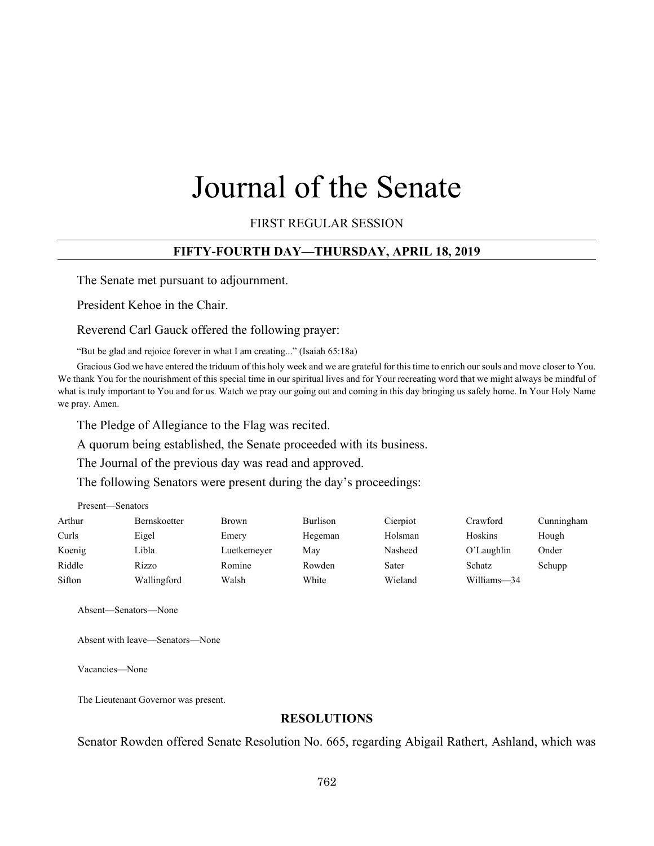# Journal of the Senate

FIRST REGULAR SESSION

## **FIFTY-FOURTH DAY—THURSDAY, APRIL 18, 2019**

The Senate met pursuant to adjournment.

President Kehoe in the Chair.

Reverend Carl Gauck offered the following prayer:

"But be glad and rejoice forever in what I am creating..." (Isaiah 65:18a)

Gracious God we have entered the triduum of this holy week and we are grateful for this time to enrich our souls and move closer to You. We thank You for the nourishment of this special time in our spiritual lives and for Your recreating word that we might always be mindful of what is truly important to You and for us. Watch we pray our going out and coming in this day bringing us safely home. In Your Holy Name we pray. Amen.

The Pledge of Allegiance to the Flag was recited.

A quorum being established, the Senate proceeded with its business.

The Journal of the previous day was read and approved.

The following Senators were present during the day's proceedings:

| Present—Senators |                     |              |                 |          |             |            |
|------------------|---------------------|--------------|-----------------|----------|-------------|------------|
| Arthur           | <b>Bernskoetter</b> | <b>Brown</b> | <b>Burlison</b> | Cierpiot | Crawford    | Cunningham |
| Curls            | Eigel               | Emery        | Hegeman         | Holsman  | Hoskins     | Hough      |
| Koenig           | Libla               | Luetkemeyer  | Mav             | Nasheed  | O'Laughlin  | Onder      |
| Riddle           | Rizzo               | Romine       | Rowden          | Sater    | Schatz      | Schupp     |
| Sifton           | Wallingford         | Walsh        | White           | Wieland  | Williams-34 |            |

Absent—Senators—None

Absent with leave—Senators—None

Vacancies—None

The Lieutenant Governor was present.

## **RESOLUTIONS**

Senator Rowden offered Senate Resolution No. 665, regarding Abigail Rathert, Ashland, which was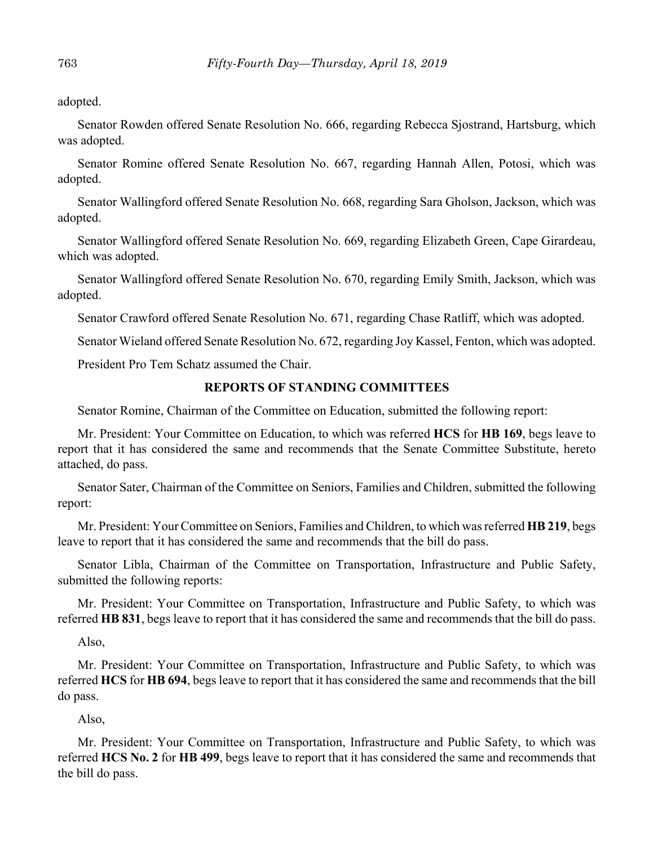adopted.

Senator Rowden offered Senate Resolution No. 666, regarding Rebecca Sjostrand, Hartsburg, which was adopted.

Senator Romine offered Senate Resolution No. 667, regarding Hannah Allen, Potosi, which was adopted.

Senator Wallingford offered Senate Resolution No. 668, regarding Sara Gholson, Jackson, which was adopted.

Senator Wallingford offered Senate Resolution No. 669, regarding Elizabeth Green, Cape Girardeau, which was adopted.

Senator Wallingford offered Senate Resolution No. 670, regarding Emily Smith, Jackson, which was adopted.

Senator Crawford offered Senate Resolution No. 671, regarding Chase Ratliff, which was adopted.

Senator Wieland offered Senate Resolution No. 672, regarding Joy Kassel, Fenton, which was adopted.

President Pro Tem Schatz assumed the Chair.

# **REPORTS OF STANDING COMMITTEES**

Senator Romine, Chairman of the Committee on Education, submitted the following report:

Mr. President: Your Committee on Education, to which was referred **HCS** for **HB 169**, begs leave to report that it has considered the same and recommends that the Senate Committee Substitute, hereto attached, do pass.

Senator Sater, Chairman of the Committee on Seniors, Families and Children, submitted the following report:

Mr. President: Your Committee on Seniors, Families and Children, to which was referred **HB 219**, begs leave to report that it has considered the same and recommends that the bill do pass.

Senator Libla, Chairman of the Committee on Transportation, Infrastructure and Public Safety, submitted the following reports:

Mr. President: Your Committee on Transportation, Infrastructure and Public Safety, to which was referred **HB 831**, begs leave to report that it has considered the same and recommends that the bill do pass.

Also,

Mr. President: Your Committee on Transportation, Infrastructure and Public Safety, to which was referred **HCS** for **HB 694**, begs leave to report that it has considered the same and recommends that the bill do pass.

Also,

Mr. President: Your Committee on Transportation, Infrastructure and Public Safety, to which was referred **HCS No. 2** for **HB 499**, begs leave to report that it has considered the same and recommends that the bill do pass.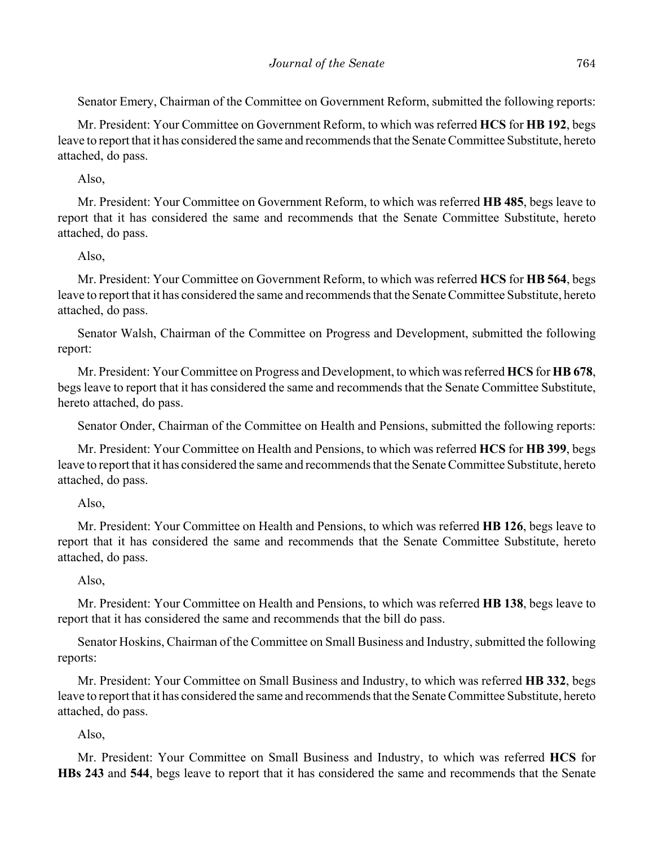Senator Emery, Chairman of the Committee on Government Reform, submitted the following reports:

Mr. President: Your Committee on Government Reform, to which was referred **HCS** for **HB 192**, begs leave to report that it has considered the same and recommends that the Senate Committee Substitute, hereto attached, do pass.

# Also,

Mr. President: Your Committee on Government Reform, to which was referred **HB 485**, begs leave to report that it has considered the same and recommends that the Senate Committee Substitute, hereto attached, do pass.

# Also,

Mr. President: Your Committee on Government Reform, to which was referred **HCS** for **HB 564**, begs leave to report that it has considered the same and recommends that the Senate Committee Substitute, hereto attached, do pass.

Senator Walsh, Chairman of the Committee on Progress and Development, submitted the following report:

Mr. President: Your Committee on Progress and Development, to which was referred **HCS** for **HB 678**, begs leave to report that it has considered the same and recommends that the Senate Committee Substitute, hereto attached, do pass.

Senator Onder, Chairman of the Committee on Health and Pensions, submitted the following reports:

Mr. President: Your Committee on Health and Pensions, to which was referred **HCS** for **HB 399**, begs leave to report that it has considered the same and recommends that the Senate Committee Substitute, hereto attached, do pass.

## Also,

Mr. President: Your Committee on Health and Pensions, to which was referred **HB 126**, begs leave to report that it has considered the same and recommends that the Senate Committee Substitute, hereto attached, do pass.

## Also,

Mr. President: Your Committee on Health and Pensions, to which was referred **HB 138**, begs leave to report that it has considered the same and recommends that the bill do pass.

Senator Hoskins, Chairman of the Committee on Small Business and Industry, submitted the following reports:

Mr. President: Your Committee on Small Business and Industry, to which was referred **HB 332**, begs leave to report that it has considered the same and recommends that the Senate Committee Substitute, hereto attached, do pass.

# Also,

Mr. President: Your Committee on Small Business and Industry, to which was referred **HCS** for **HBs 243** and **544**, begs leave to report that it has considered the same and recommends that the Senate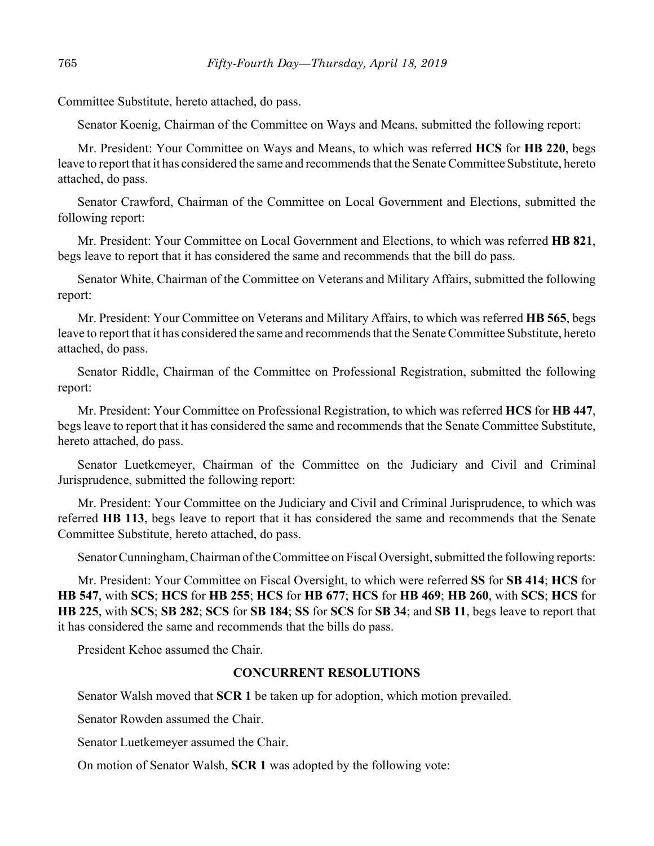Committee Substitute, hereto attached, do pass.

Senator Koenig, Chairman of the Committee on Ways and Means, submitted the following report:

Mr. President: Your Committee on Ways and Means, to which was referred **HCS** for **HB 220**, begs leave to report that it has considered the same and recommends that the Senate Committee Substitute, hereto attached, do pass.

Senator Crawford, Chairman of the Committee on Local Government and Elections, submitted the following report:

Mr. President: Your Committee on Local Government and Elections, to which was referred **HB 821**, begs leave to report that it has considered the same and recommends that the bill do pass.

Senator White, Chairman of the Committee on Veterans and Military Affairs, submitted the following report:

Mr. President: Your Committee on Veterans and Military Affairs, to which was referred **HB 565**, begs leave to report that it has considered the same and recommends that the Senate Committee Substitute, hereto attached, do pass.

Senator Riddle, Chairman of the Committee on Professional Registration, submitted the following report:

Mr. President: Your Committee on Professional Registration, to which was referred **HCS** for **HB 447**, begs leave to report that it has considered the same and recommends that the Senate Committee Substitute, hereto attached, do pass.

Senator Luetkemeyer, Chairman of the Committee on the Judiciary and Civil and Criminal Jurisprudence, submitted the following report:

Mr. President: Your Committee on the Judiciary and Civil and Criminal Jurisprudence, to which was referred **HB 113**, begs leave to report that it has considered the same and recommends that the Senate Committee Substitute, hereto attached, do pass.

Senator Cunningham, Chairman of the Committee on Fiscal Oversight, submitted the following reports:

Mr. President: Your Committee on Fiscal Oversight, to which were referred **SS** for **SB 414**; **HCS** for **HB 547**, with **SCS**; **HCS** for **HB 255**; **HCS** for **HB 677**; **HCS** for **HB 469**; **HB 260**, with **SCS**; **HCS** for **HB 225**, with **SCS**; **SB 282**; **SCS** for **SB 184**; **SS** for **SCS** for **SB 34**; and **SB 11**, begs leave to report that it has considered the same and recommends that the bills do pass.

President Kehoe assumed the Chair.

#### **CONCURRENT RESOLUTIONS**

Senator Walsh moved that **SCR 1** be taken up for adoption, which motion prevailed.

Senator Rowden assumed the Chair.

Senator Luetkemeyer assumed the Chair.

On motion of Senator Walsh, **SCR 1** was adopted by the following vote: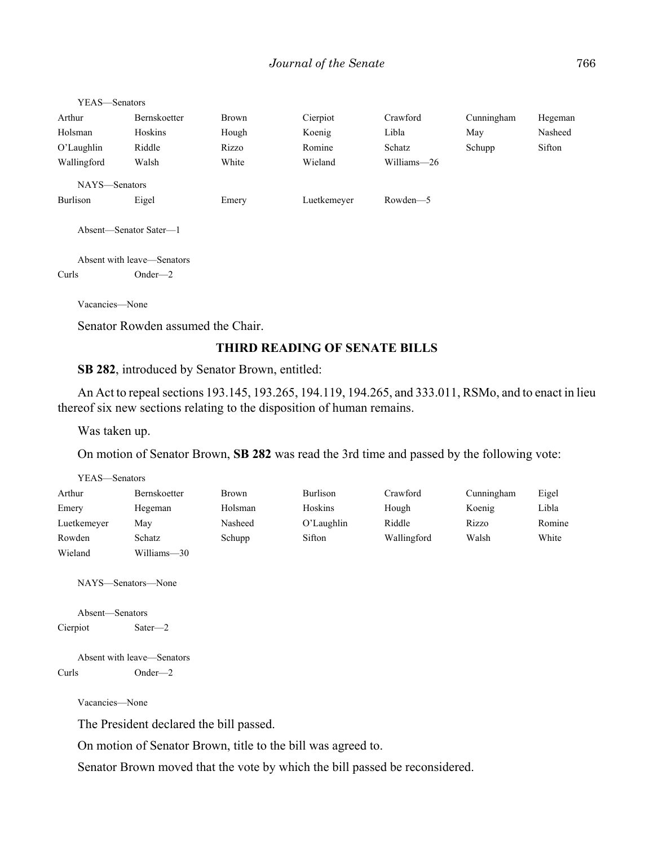| YEAS—Senators          |                            |       |             |             |            |         |
|------------------------|----------------------------|-------|-------------|-------------|------------|---------|
| Arthur                 | <b>Bernskoetter</b>        | Brown | Cierpiot    | Crawford    | Cunningham | Hegeman |
| Holsman                | Hoskins                    | Hough | Koenig      | Libla       | May        | Nasheed |
| $O'$ Laughlin          | Riddle                     | Rizzo | Romine      | Schatz      | Schupp     | Sifton  |
| Wallingford            | Walsh                      | White | Wieland     | Williams-26 |            |         |
| NAYS-Senators          |                            |       |             |             |            |         |
| <b>Burlison</b>        | Eigel                      | Emery | Luetkemeyer | Rowden-5    |            |         |
| Absent-Senator Sater-1 |                            |       |             |             |            |         |
|                        | Absent with leave—Senators |       |             |             |            |         |
| Curls                  | $Onder - 2$                |       |             |             |            |         |

Vacancies—None

Senator Rowden assumed the Chair.

## **THIRD READING OF SENATE BILLS**

**SB 282**, introduced by Senator Brown, entitled:

An Act to repeal sections 193.145, 193.265, 194.119, 194.265, and 333.011, RSMo, and to enact in lieu thereof six new sections relating to the disposition of human remains.

Was taken up.

On motion of Senator Brown, **SB 282** was read the 3rd time and passed by the following vote:

| YEAS—Senators |              |              |               |             |            |        |
|---------------|--------------|--------------|---------------|-------------|------------|--------|
| Arthur        | Bernskoetter | <b>Brown</b> | Burlison      | Crawford    | Cunningham | Eigel  |
| Emery         | Hegeman      | Holsman      | Hoskins       | Hough       | Koenig     | Libla  |
| Luetkemeyer   | May          | Nasheed      | $O'$ Laughlin | Riddle      | Rizzo      | Romine |
| Rowden        | Schatz       | Schupp       | Sifton        | Wallingford | Walsh      | White  |
| Wieland       | Williams-30  |              |               |             |            |        |

NAYS—Senators—None

Absent—Senators Cierpiot Sater—2

Absent with leave—Senators Curls Onder—2

Vacancies—None

The President declared the bill passed.

On motion of Senator Brown, title to the bill was agreed to.

Senator Brown moved that the vote by which the bill passed be reconsidered.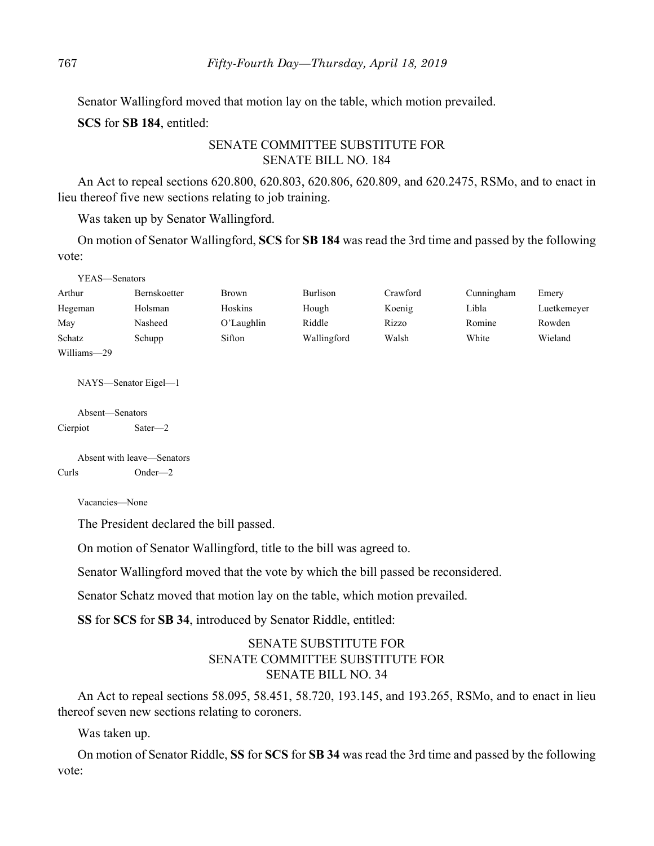Senator Wallingford moved that motion lay on the table, which motion prevailed.

**SCS** for **SB 184**, entitled:

## SENATE COMMITTEE SUBSTITUTE FOR SENATE BILL NO. 184

An Act to repeal sections 620.800, 620.803, 620.806, 620.809, and 620.2475, RSMo, and to enact in lieu thereof five new sections relating to job training.

Was taken up by Senator Wallingford.

On motion of Senator Wallingford, **SCS** for **SB 184** was read the 3rd time and passed by the following vote:

| YEAS—Senators |              |               |             |          |            |             |
|---------------|--------------|---------------|-------------|----------|------------|-------------|
| Arthur        | Bernskoetter | Brown         | Burlison    | Crawford | Cunningham | Emery       |
| Hegeman       | Holsman      | Hoskins       | Hough       | Koenig   | Libla      | Luetkemeyer |
| May           | Nasheed      | $O'$ Laughlin | Riddle      | Rizzo    | Romine     | Rowden      |
| Schatz        | Schupp       | Sifton        | Wallingford | Walsh    | White      | Wieland     |
| Williams-29   |              |               |             |          |            |             |

NAYS—Senator Eigel—1

Absent—Senators Cierpiot Sater—2

Absent with leave—Senators Curls Onder—2

Vacancies—None

The President declared the bill passed.

On motion of Senator Wallingford, title to the bill was agreed to.

Senator Wallingford moved that the vote by which the bill passed be reconsidered.

Senator Schatz moved that motion lay on the table, which motion prevailed.

**SS** for **SCS** for **SB 34**, introduced by Senator Riddle, entitled:

# SENATE SUBSTITUTE FOR SENATE COMMITTEE SUBSTITUTE FOR SENATE BILL NO. 34

An Act to repeal sections 58.095, 58.451, 58.720, 193.145, and 193.265, RSMo, and to enact in lieu thereof seven new sections relating to coroners.

Was taken up.

On motion of Senator Riddle, **SS** for **SCS** for **SB 34** was read the 3rd time and passed by the following vote: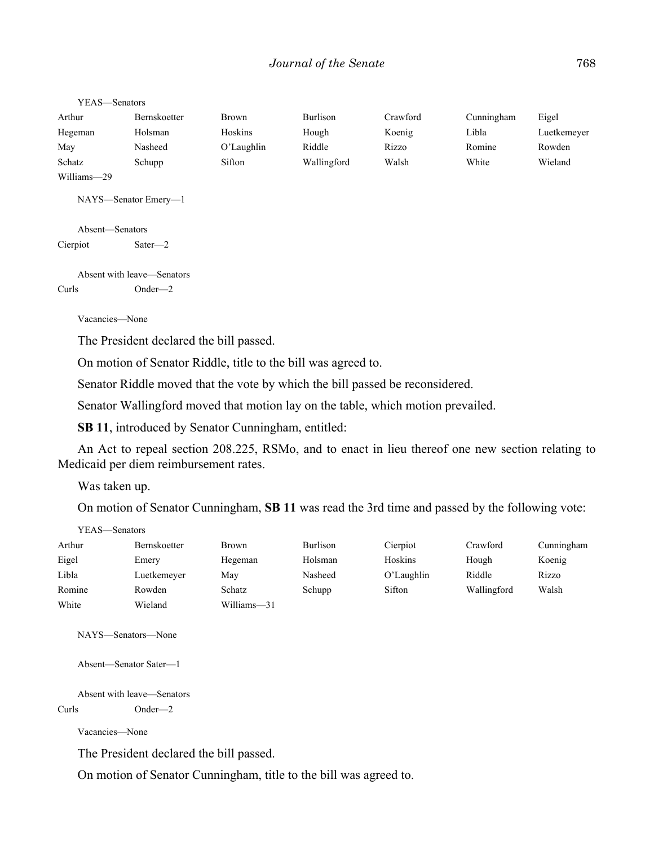YEAS—Senators

| Arthur      | Bernskoetter | Brown         | <b>Burlison</b> | Crawford | Cunningham | Eigel       |
|-------------|--------------|---------------|-----------------|----------|------------|-------------|
| Hegeman     | Holsman      | Hoskins       | Hough           | Koenig   | Libla      | Luetkemeyer |
| May         | Nasheed      | $O'$ Laughlin | Riddle          | Rizzo    | Romine     | Rowden      |
| Schatz      | Schupp       | Sifton        | Wallingford     | Walsh    | White      | Wieland     |
| Williams-29 |              |               |                 |          |            |             |

NAYS—Senator Emery—1

Absent—Senators Cierpiot Sater—2

Absent with leave—Senators Curls Onder—2

Vacancies—None

The President declared the bill passed.

On motion of Senator Riddle, title to the bill was agreed to.

Senator Riddle moved that the vote by which the bill passed be reconsidered.

Senator Wallingford moved that motion lay on the table, which motion prevailed.

**SB 11**, introduced by Senator Cunningham, entitled:

An Act to repeal section 208.225, RSMo, and to enact in lieu thereof one new section relating to Medicaid per diem reimbursement rates.

Was taken up.

On motion of Senator Cunningham, **SB 11** was read the 3rd time and passed by the following vote:

| YEAS—Senators |                     |              |                 |            |             |            |
|---------------|---------------------|--------------|-----------------|------------|-------------|------------|
| Arthur        | <b>Bernskoetter</b> | <b>Brown</b> | <b>Burlison</b> | Cierpiot   | Crawford    | Cunningham |
| Eigel         | Emery               | Hegeman      | Holsman         | Hoskins    | Hough       | Koenig     |
| Libla         | Luetkemeyer         | May          | Nasheed         | O'Laughlin | Riddle      | Rizzo      |
| Romine        | Rowden              | Schatz       | Schupp          | Sifton     | Wallingford | Walsh      |
| White         | Wieland             | Williams-31  |                 |            |             |            |

NAYS—Senators—None

Absent—Senator Sater—1

Absent with leave—Senators Curls Onder—2

Vacancies—None

The President declared the bill passed.

On motion of Senator Cunningham, title to the bill was agreed to.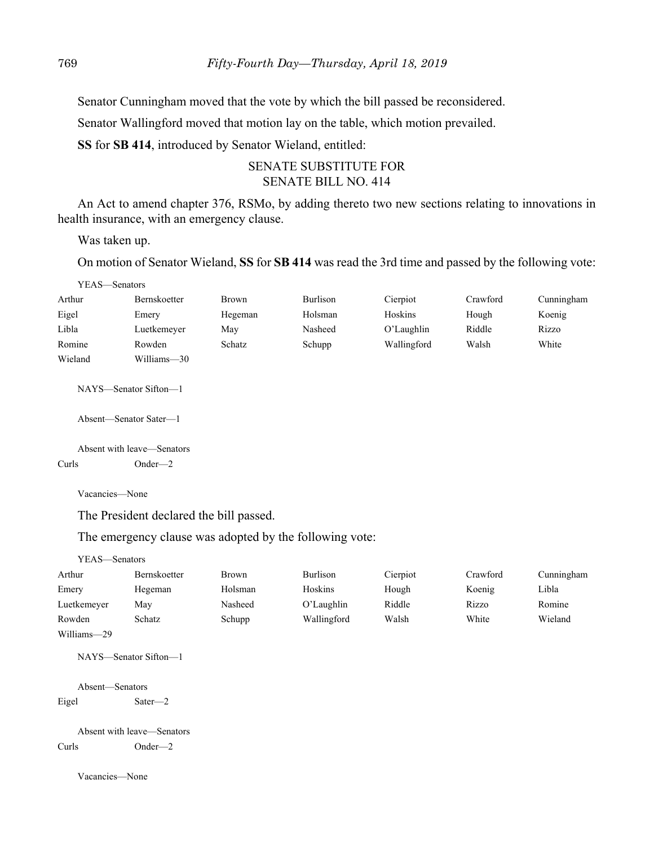Senator Cunningham moved that the vote by which the bill passed be reconsidered.

Senator Wallingford moved that motion lay on the table, which motion prevailed.

**SS** for **SB 414**, introduced by Senator Wieland, entitled:

# SENATE SUBSTITUTE FOR SENATE BILL NO. 414

An Act to amend chapter 376, RSMo, by adding thereto two new sections relating to innovations in health insurance, with an emergency clause.

Was taken up.

On motion of Senator Wieland, **SS** for **SB 414** was read the 3rd time and passed by the following vote:

| YEAS—Senators |                     |              |          |             |          |            |
|---------------|---------------------|--------------|----------|-------------|----------|------------|
| Arthur        | <b>Bernskoetter</b> | <b>Brown</b> | Burlison | Cierpiot    | Crawford | Cunningham |
| Eigel         | Emery               | Hegeman      | Holsman  | Hoskins     | Hough    | Koenig     |
| Libla         | Luetkemeyer         | May          | Nasheed  | O'Laughlin  | Riddle   | Rizzo      |
| Romine        | Rowden              | Schatz       | Schupp   | Wallingford | Walsh    | White      |
| Wieland       | Williams-30         |              |          |             |          |            |

NAYS—Senator Sifton—1

Absent—Senator Sater—1

Absent with leave—Senators Curls Onder—2

Vacancies—None

The President declared the bill passed.

The emergency clause was adopted by the following vote:

| YEAS—Senators |                       |         |             |          |          |            |
|---------------|-----------------------|---------|-------------|----------|----------|------------|
| Arthur        | <b>Bernskoetter</b>   | Brown   | Burlison    | Cierpiot | Crawford | Cunningham |
| Emery         | Hegeman               | Holsman | Hoskins     | Hough    | Koenig   | Libla      |
| Luetkemeyer   | May                   | Nasheed | O'Laughlin  | Riddle   | Rizzo    | Romine     |
| Rowden        | Schatz                | Schupp  | Wallingford | Walsh    | White    | Wieland    |
| Williams-29   |                       |         |             |          |          |            |
|               | NAYS—Senator Sifton—1 |         |             |          |          |            |

Absent—Senators Eigel Sater—2

Absent with leave—Senators Curls Onder—2

Vacancies—None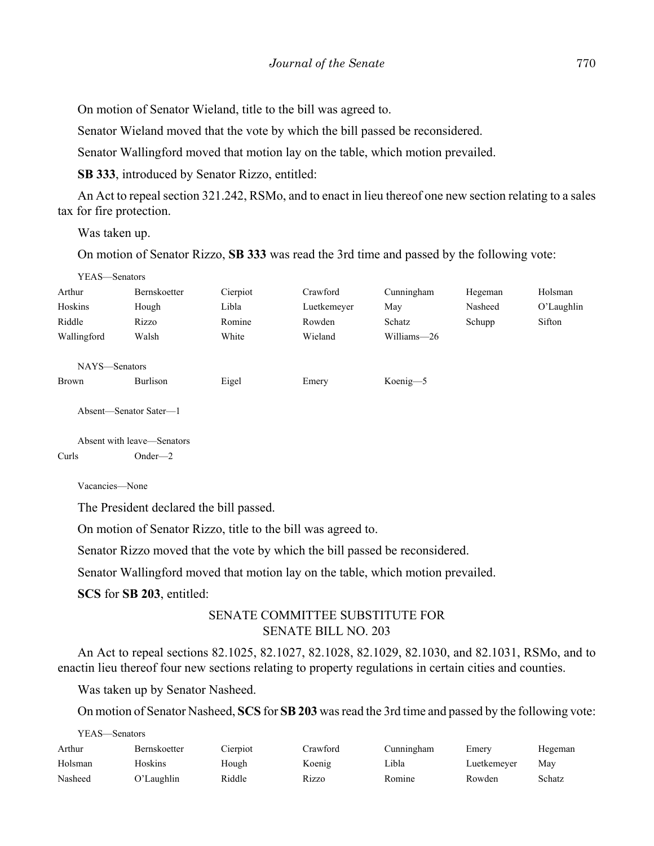On motion of Senator Wieland, title to the bill was agreed to.

Senator Wieland moved that the vote by which the bill passed be reconsidered.

Senator Wallingford moved that motion lay on the table, which motion prevailed.

**SB 333**, introduced by Senator Rizzo, entitled:

An Act to repeal section 321.242, RSMo, and to enact in lieu thereof one new section relating to a sales tax for fire protection.

Was taken up.

On motion of Senator Rizzo, **SB 333** was read the 3rd time and passed by the following vote:

| YEAS—Senators |                        |          |             |             |         |               |
|---------------|------------------------|----------|-------------|-------------|---------|---------------|
| Arthur        | <b>Bernskoetter</b>    | Cierpiot | Crawford    | Cunningham  | Hegeman | Holsman       |
| Hoskins       | Hough                  | Libla    | Luetkemeyer | May         | Nasheed | $O'$ Laughlin |
| Riddle        | Rizzo                  | Romine   | Rowden      | Schatz      | Schupp  | Sifton        |
| Wallingford   | Walsh                  | White    | Wieland     | Williams-26 |         |               |
|               |                        |          |             |             |         |               |
| NAYS-Senators |                        |          |             |             |         |               |
| Brown         | Burlison               | Eigel    | Emery       | Koenig-5    |         |               |
|               |                        |          |             |             |         |               |
|               | Absent—Senator Sater—1 |          |             |             |         |               |
|               |                        |          |             |             |         |               |

Absent with leave—Senators Curls Onder—2

Vacancies—None

The President declared the bill passed.

On motion of Senator Rizzo, title to the bill was agreed to.

Senator Rizzo moved that the vote by which the bill passed be reconsidered.

Senator Wallingford moved that motion lay on the table, which motion prevailed.

**SCS** for **SB 203**, entitled:

# SENATE COMMITTEE SUBSTITUTE FOR SENATE BILL NO. 203

An Act to repeal sections 82.1025, 82.1027, 82.1028, 82.1029, 82.1030, and 82.1031, RSMo, and to enactin lieu thereof four new sections relating to property regulations in certain cities and counties.

Was taken up by Senator Nasheed.

On motion of Senator Nasheed, **SCS** for **SB 203** was read the 3rd time and passed by the following vote:

YEAS—Senators

| Arthur  | Bernskoetter | Cierpiot | Crawford | Cunningham | Emery       | Hegeman |
|---------|--------------|----------|----------|------------|-------------|---------|
| Holsman | Hoskins      | Hough    | Koenig   | Libla      | Luetkemeyer | May     |
| Nasheed | O'Laughlin   | Riddle   | Rizzo    | Romine     | Rowden      | Schatz  |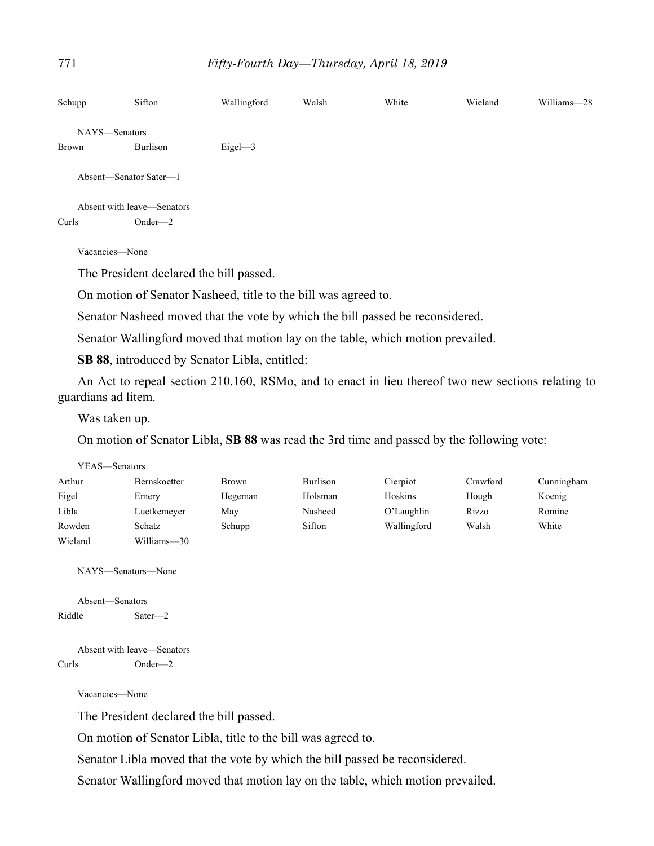| Schupp                 | Sifton                     | Wallingford | Walsh | White | Wieland | Williams-28 |
|------------------------|----------------------------|-------------|-------|-------|---------|-------------|
| NAYS-Senators          |                            |             |       |       |         |             |
| Brown                  | Burlison                   | $Eigel$ —3  |       |       |         |             |
| Absent—Senator Sater—1 |                            |             |       |       |         |             |
|                        | Absent with leave—Senators |             |       |       |         |             |
| Curls                  | $Onder - 2$                |             |       |       |         |             |

Vacancies—None

The President declared the bill passed.

On motion of Senator Nasheed, title to the bill was agreed to.

Senator Nasheed moved that the vote by which the bill passed be reconsidered.

Senator Wallingford moved that motion lay on the table, which motion prevailed.

**SB 88**, introduced by Senator Libla, entitled:

An Act to repeal section 210.160, RSMo, and to enact in lieu thereof two new sections relating to guardians ad litem.

Was taken up.

On motion of Senator Libla, **SB 88** was read the 3rd time and passed by the following vote:

| YEAS—Senators |                     |              |          |             |          |            |
|---------------|---------------------|--------------|----------|-------------|----------|------------|
| Arthur        | <b>Bernskoetter</b> | <b>Brown</b> | Burlison | Cierpiot    | Crawford | Cunningham |
| Eigel         | Emery               | Hegeman      | Holsman  | Hoskins     | Hough    | Koenig     |
| Libla         | Luetkemeyer         | May          | Nasheed  | O'Laughlin  | Rizzo    | Romine     |
| Rowden        | Schatz              | Schupp       | Sifton   | Wallingford | Walsh    | White      |
| Wieland       | Williams-30         |              |          |             |          |            |

NAYS—Senators—None

Absent—Senators Riddle Sater—2

Absent with leave—Senators Curls Onder—2

Vacancies—None

The President declared the bill passed.

On motion of Senator Libla, title to the bill was agreed to.

Senator Libla moved that the vote by which the bill passed be reconsidered.

Senator Wallingford moved that motion lay on the table, which motion prevailed.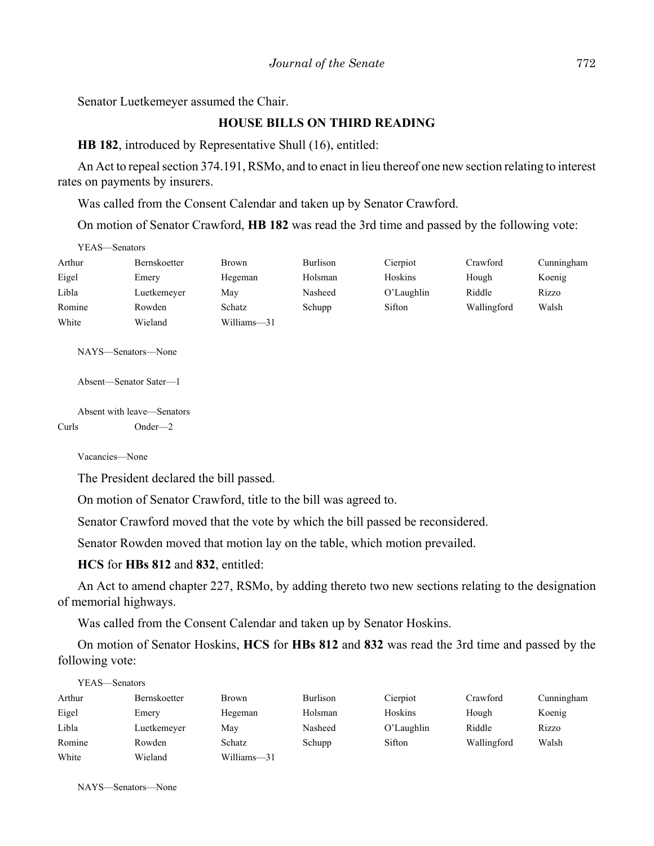Senator Luetkemeyer assumed the Chair.

# **HOUSE BILLS ON THIRD READING**

**HB 182**, introduced by Representative Shull (16), entitled:

An Act to repeal section 374.191, RSMo, and to enact in lieu thereof one new section relating to interest rates on payments by insurers.

Was called from the Consent Calendar and taken up by Senator Crawford.

On motion of Senator Crawford, **HB 182** was read the 3rd time and passed by the following vote:

| YEAS—Senators |                     |              |                 |            |             |            |  |
|---------------|---------------------|--------------|-----------------|------------|-------------|------------|--|
| Arthur        | <b>Bernskoetter</b> | <b>Brown</b> | <b>Burlison</b> | Cierpiot   | Crawford    | Cunningham |  |
| Eigel         | Emery               | Hegeman      | Holsman         | Hoskins    | Hough       | Koenig     |  |
| Libla         | Luetkemeyer         | May          | Nasheed         | O'Laughlin | Riddle      | Rizzo      |  |
| Romine        | Rowden              | Schatz       | Schupp          | Sifton     | Wallingford | Walsh      |  |
| White         | Wieland             | Williams-31  |                 |            |             |            |  |

NAYS—Senators—None

```
Absent—Senator Sater—1
```
Absent with leave—Senators Curls Onder—2

Vacancies—None

The President declared the bill passed.

On motion of Senator Crawford, title to the bill was agreed to.

Senator Crawford moved that the vote by which the bill passed be reconsidered.

Senator Rowden moved that motion lay on the table, which motion prevailed.

**HCS** for **HBs 812** and **832**, entitled:

An Act to amend chapter 227, RSMo, by adding thereto two new sections relating to the designation of memorial highways.

Was called from the Consent Calendar and taken up by Senator Hoskins.

On motion of Senator Hoskins, **HCS** for **HBs 812** and **832** was read the 3rd time and passed by the following vote:

| YEAS—Senators       |              |          |               |             |            |  |  |
|---------------------|--------------|----------|---------------|-------------|------------|--|--|
| <b>Bernskoetter</b> | <b>Brown</b> | Burlison | Cierpiot      | Crawford    | Cunningham |  |  |
| Emery               | Hegeman      | Holsman  | Hoskins       | Hough       | Koenig     |  |  |
| Luetkemeyer         | May          | Nasheed  | $O'$ Laughlin | Riddle      | Rizzo      |  |  |
| Rowden              | Schatz       | Schupp   | Sifton        | Wallingford | Walsh      |  |  |
| Wieland             | Williams-31  |          |               |             |            |  |  |
|                     |              |          |               |             |            |  |  |

NAYS—Senators—None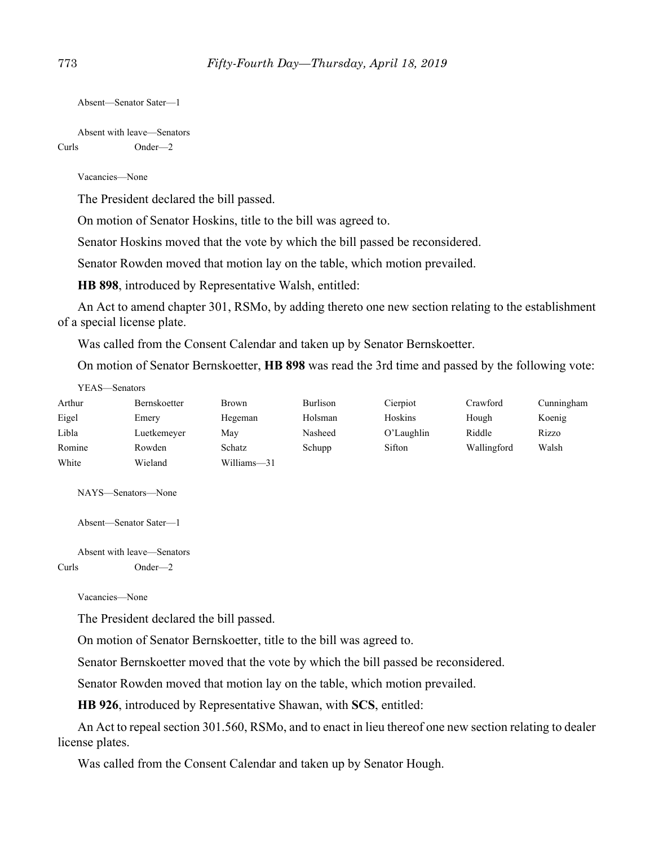```
Absent—Senator Sater—1
```
Absent with leave—Senators Curls Onder—2

Vacancies—None

The President declared the bill passed.

On motion of Senator Hoskins, title to the bill was agreed to.

Senator Hoskins moved that the vote by which the bill passed be reconsidered.

Senator Rowden moved that motion lay on the table, which motion prevailed.

**HB 898**, introduced by Representative Walsh, entitled:

An Act to amend chapter 301, RSMo, by adding thereto one new section relating to the establishment of a special license plate.

Was called from the Consent Calendar and taken up by Senator Bernskoetter.

On motion of Senator Bernskoetter, **HB 898** was read the 3rd time and passed by the following vote:

| Y EAS—Senators |              |              |          |               |             |            |
|----------------|--------------|--------------|----------|---------------|-------------|------------|
| Arthur         | Bernskoetter | <b>Brown</b> | Burlison | Cierpiot      | Crawford    | Cunningham |
| Eigel          | Emery        | Hegeman      | Holsman  | Hoskins       | Hough       | Koenig     |
| Libla          | Luetkemeyer  | May          | Nasheed  | $O'$ Laughlin | Riddle      | Rizzo      |
| Romine         | Rowden       | Schatz       | Schupp   | Sifton        | Wallingford | Walsh      |
| White          | Wieland      | Williams-31  |          |               |             |            |

NAYS—Senators—None

 $YFAS = S$ 

Absent—Senator Sater—1

Absent with leave—Senators Curls Onder—2

Vacancies—None

The President declared the bill passed.

On motion of Senator Bernskoetter, title to the bill was agreed to.

Senator Bernskoetter moved that the vote by which the bill passed be reconsidered.

Senator Rowden moved that motion lay on the table, which motion prevailed.

**HB 926**, introduced by Representative Shawan, with **SCS**, entitled:

An Act to repeal section 301.560, RSMo, and to enact in lieu thereof one new section relating to dealer license plates.

Was called from the Consent Calendar and taken up by Senator Hough.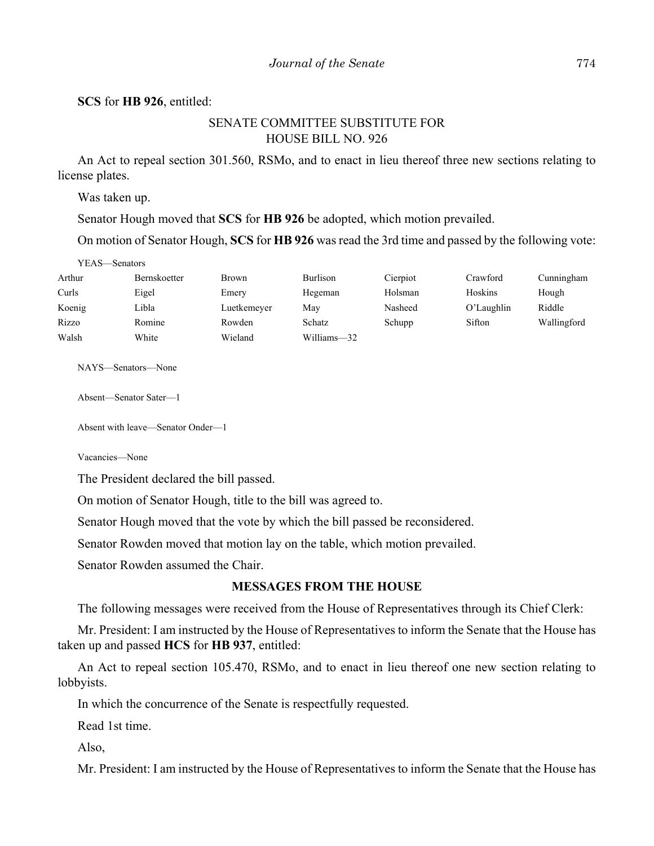#### **SCS** for **HB 926**, entitled:

## SENATE COMMITTEE SUBSTITUTE FOR HOUSE BILL NO. 926

An Act to repeal section 301.560, RSMo, and to enact in lieu thereof three new sections relating to license plates.

Was taken up.

Senator Hough moved that **SCS** for **HB 926** be adopted, which motion prevailed.

On motion of Senator Hough, **SCS** for **HB 926** was read the 3rd time and passed by the following vote:

| Arthur | Bernskoetter | <b>Brown</b> | Burlison    | Cierpiot | Crawford      | Cunningham  |
|--------|--------------|--------------|-------------|----------|---------------|-------------|
| Curls  | Eigel        | Emery        | Hegeman     | Holsman  | Hoskins       | Hough       |
| Koenig | Libla        | Luetkemeyer  | Mav         | Nasheed  | $O'$ Laughlin | Riddle      |
| Rizzo  | Romine       | Rowden       | Schatz      | Schupp   | Sifton        | Wallingford |
| Walsh  | White        | Wieland      | Williams-32 |          |               |             |

NAYS—Senators—None

Absent—Senator Sater—1

Absent with leave—Senator Onder—1

Vacancies—None

The President declared the bill passed.

On motion of Senator Hough, title to the bill was agreed to.

Senator Hough moved that the vote by which the bill passed be reconsidered.

Senator Rowden moved that motion lay on the table, which motion prevailed.

Senator Rowden assumed the Chair.

#### **MESSAGES FROM THE HOUSE**

The following messages were received from the House of Representatives through its Chief Clerk:

Mr. President: I am instructed by the House of Representatives to inform the Senate that the House has taken up and passed **HCS** for **HB 937**, entitled:

An Act to repeal section 105.470, RSMo, and to enact in lieu thereof one new section relating to lobbyists.

In which the concurrence of the Senate is respectfully requested.

Read 1st time.

Also,

Mr. President: I am instructed by the House of Representatives to inform the Senate that the House has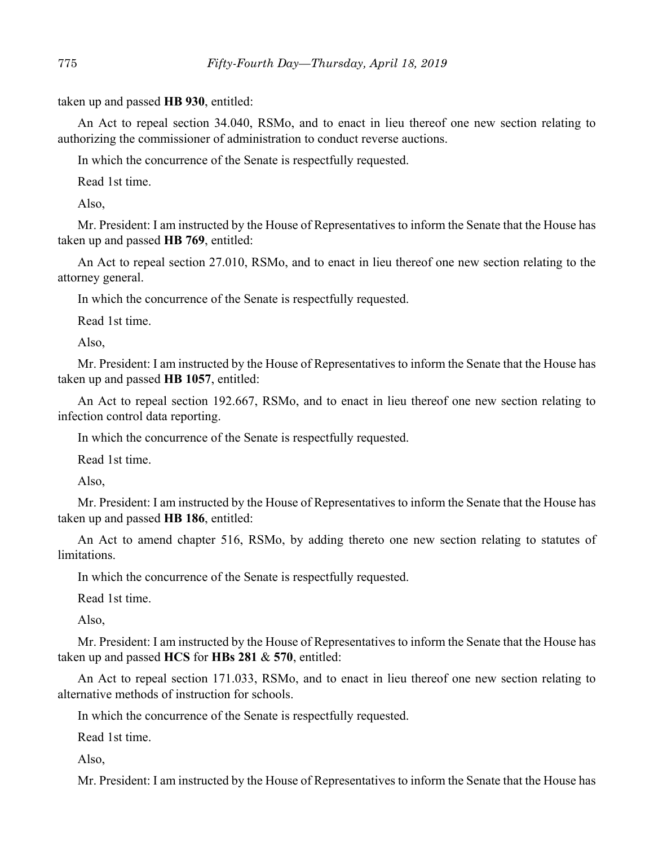taken up and passed **HB 930**, entitled:

An Act to repeal section 34.040, RSMo, and to enact in lieu thereof one new section relating to authorizing the commissioner of administration to conduct reverse auctions.

In which the concurrence of the Senate is respectfully requested.

Read 1st time.

Also,

Mr. President: I am instructed by the House of Representatives to inform the Senate that the House has taken up and passed **HB 769**, entitled:

An Act to repeal section 27.010, RSMo, and to enact in lieu thereof one new section relating to the attorney general.

In which the concurrence of the Senate is respectfully requested.

Read 1st time.

Also,

Mr. President: I am instructed by the House of Representatives to inform the Senate that the House has taken up and passed **HB 1057**, entitled:

An Act to repeal section 192.667, RSMo, and to enact in lieu thereof one new section relating to infection control data reporting.

In which the concurrence of the Senate is respectfully requested.

Read 1st time.

Also,

Mr. President: I am instructed by the House of Representatives to inform the Senate that the House has taken up and passed **HB 186**, entitled:

An Act to amend chapter 516, RSMo, by adding thereto one new section relating to statutes of limitations.

In which the concurrence of the Senate is respectfully requested.

Read 1st time.

Also,

Mr. President: I am instructed by the House of Representatives to inform the Senate that the House has taken up and passed **HCS** for **HBs 281** & **570**, entitled:

An Act to repeal section 171.033, RSMo, and to enact in lieu thereof one new section relating to alternative methods of instruction for schools.

In which the concurrence of the Senate is respectfully requested.

Read 1st time.

Also,

Mr. President: I am instructed by the House of Representatives to inform the Senate that the House has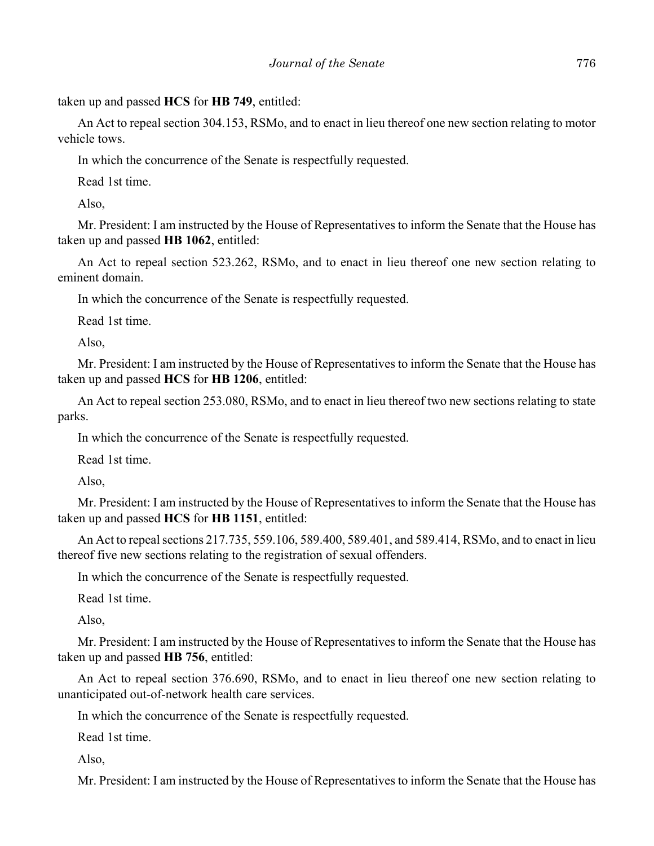taken up and passed **HCS** for **HB 749**, entitled:

An Act to repeal section 304.153, RSMo, and to enact in lieu thereof one new section relating to motor vehicle tows.

In which the concurrence of the Senate is respectfully requested.

Read 1st time.

Also,

Mr. President: I am instructed by the House of Representatives to inform the Senate that the House has taken up and passed **HB 1062**, entitled:

An Act to repeal section 523.262, RSMo, and to enact in lieu thereof one new section relating to eminent domain.

In which the concurrence of the Senate is respectfully requested.

Read 1st time.

Also,

Mr. President: I am instructed by the House of Representatives to inform the Senate that the House has taken up and passed **HCS** for **HB 1206**, entitled:

An Act to repeal section 253.080, RSMo, and to enact in lieu thereof two new sections relating to state parks.

In which the concurrence of the Senate is respectfully requested.

Read 1st time.

Also,

Mr. President: I am instructed by the House of Representatives to inform the Senate that the House has taken up and passed **HCS** for **HB 1151**, entitled:

An Act to repeal sections 217.735, 559.106, 589.400, 589.401, and 589.414, RSMo, and to enact in lieu thereof five new sections relating to the registration of sexual offenders.

In which the concurrence of the Senate is respectfully requested.

Read 1st time.

Also,

Mr. President: I am instructed by the House of Representatives to inform the Senate that the House has taken up and passed **HB 756**, entitled:

An Act to repeal section 376.690, RSMo, and to enact in lieu thereof one new section relating to unanticipated out-of-network health care services.

In which the concurrence of the Senate is respectfully requested.

Read 1st time.

Also,

Mr. President: I am instructed by the House of Representatives to inform the Senate that the House has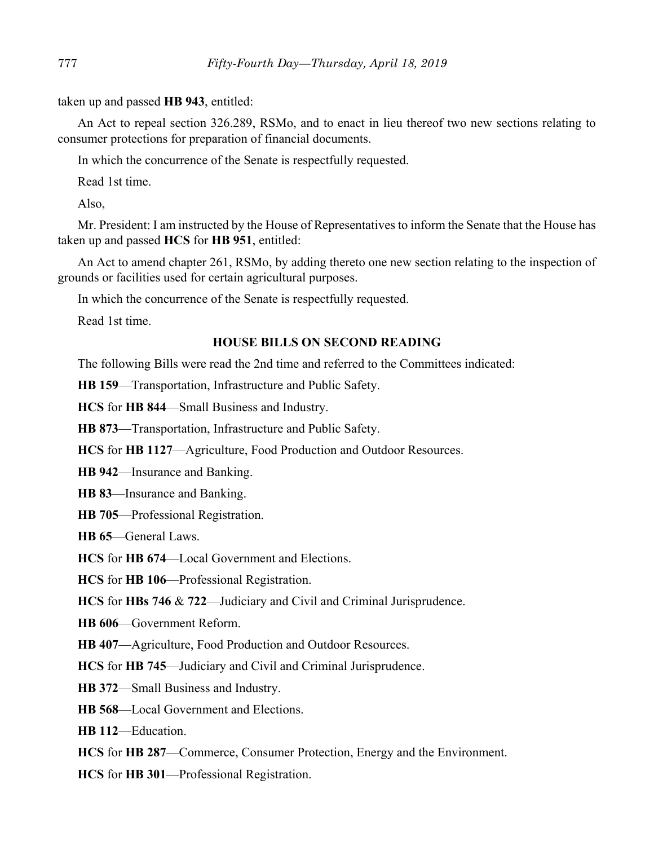taken up and passed **HB 943**, entitled:

An Act to repeal section 326.289, RSMo, and to enact in lieu thereof two new sections relating to consumer protections for preparation of financial documents.

In which the concurrence of the Senate is respectfully requested.

Read 1st time.

Also,

Mr. President: I am instructed by the House of Representatives to inform the Senate that the House has taken up and passed **HCS** for **HB 951**, entitled:

An Act to amend chapter 261, RSMo, by adding thereto one new section relating to the inspection of grounds or facilities used for certain agricultural purposes.

In which the concurrence of the Senate is respectfully requested.

Read 1st time.

# **HOUSE BILLS ON SECOND READING**

The following Bills were read the 2nd time and referred to the Committees indicated:

**HB 159**––Transportation, Infrastructure and Public Safety.

**HCS** for **HB 844**––Small Business and Industry.

**HB 873**––Transportation, Infrastructure and Public Safety.

**HCS** for **HB 1127**––Agriculture, Food Production and Outdoor Resources.

**HB 942**––Insurance and Banking.

**HB 83**––Insurance and Banking.

**HB 705**––Professional Registration.

**HB 65**––General Laws.

**HCS** for **HB 674**––Local Government and Elections.

**HCS** for **HB 106**––Professional Registration.

**HCS** for **HBs 746** & **722**––Judiciary and Civil and Criminal Jurisprudence.

**HB 606**––Government Reform.

**HB 407**––Agriculture, Food Production and Outdoor Resources.

**HCS** for **HB 745**––Judiciary and Civil and Criminal Jurisprudence.

**HB 372**––Small Business and Industry.

**HB 568**––Local Government and Elections.

**HB 112**––Education.

**HCS** for **HB 287**––Commerce, Consumer Protection, Energy and the Environment.

**HCS** for **HB 301**––Professional Registration.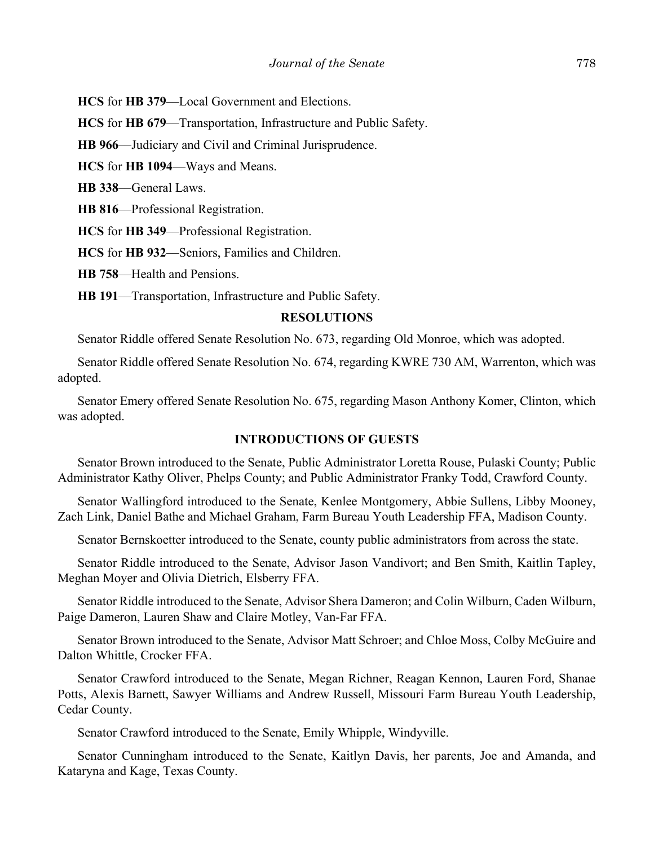**HCS** for **HB 379**––Local Government and Elections.

**HCS** for **HB 679**––Transportation, Infrastructure and Public Safety.

**HB 966**––Judiciary and Civil and Criminal Jurisprudence.

**HCS** for **HB 1094**––Ways and Means.

**HB 338**––General Laws.

**HB 816**––Professional Registration.

**HCS** for **HB 349**––Professional Registration.

**HCS** for **HB 932**––Seniors, Families and Children.

**HB 758**––Health and Pensions.

**HB 191**––Transportation, Infrastructure and Public Safety.

## **RESOLUTIONS**

Senator Riddle offered Senate Resolution No. 673, regarding Old Monroe, which was adopted.

Senator Riddle offered Senate Resolution No. 674, regarding KWRE 730 AM, Warrenton, which was adopted.

Senator Emery offered Senate Resolution No. 675, regarding Mason Anthony Komer, Clinton, which was adopted.

## **INTRODUCTIONS OF GUESTS**

Senator Brown introduced to the Senate, Public Administrator Loretta Rouse, Pulaski County; Public Administrator Kathy Oliver, Phelps County; and Public Administrator Franky Todd, Crawford County.

Senator Wallingford introduced to the Senate, Kenlee Montgomery, Abbie Sullens, Libby Mooney, Zach Link, Daniel Bathe and Michael Graham, Farm Bureau Youth Leadership FFA, Madison County.

Senator Bernskoetter introduced to the Senate, county public administrators from across the state.

Senator Riddle introduced to the Senate, Advisor Jason Vandivort; and Ben Smith, Kaitlin Tapley, Meghan Moyer and Olivia Dietrich, Elsberry FFA.

Senator Riddle introduced to the Senate, Advisor Shera Dameron; and Colin Wilburn, Caden Wilburn, Paige Dameron, Lauren Shaw and Claire Motley, Van-Far FFA.

Senator Brown introduced to the Senate, Advisor Matt Schroer; and Chloe Moss, Colby McGuire and Dalton Whittle, Crocker FFA.

Senator Crawford introduced to the Senate, Megan Richner, Reagan Kennon, Lauren Ford, Shanae Potts, Alexis Barnett, Sawyer Williams and Andrew Russell, Missouri Farm Bureau Youth Leadership, Cedar County.

Senator Crawford introduced to the Senate, Emily Whipple, Windyville.

Senator Cunningham introduced to the Senate, Kaitlyn Davis, her parents, Joe and Amanda, and Kataryna and Kage, Texas County.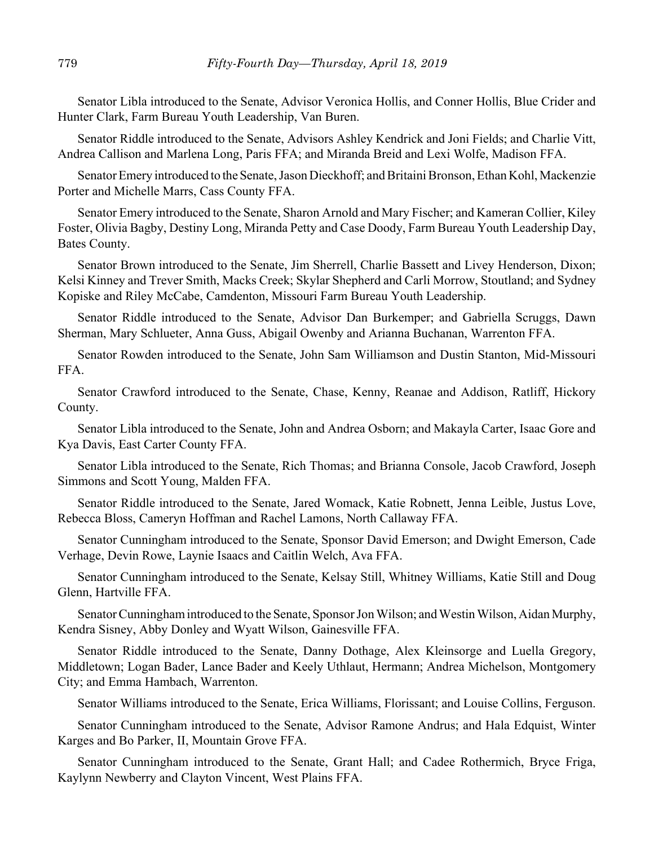Senator Libla introduced to the Senate, Advisor Veronica Hollis, and Conner Hollis, Blue Crider and Hunter Clark, Farm Bureau Youth Leadership, Van Buren.

Senator Riddle introduced to the Senate, Advisors Ashley Kendrick and Joni Fields; and Charlie Vitt, Andrea Callison and Marlena Long, Paris FFA; and Miranda Breid and Lexi Wolfe, Madison FFA.

Senator Emery introduced to the Senate, Jason Dieckhoff; and Britaini Bronson, Ethan Kohl, Mackenzie Porter and Michelle Marrs, Cass County FFA.

Senator Emery introduced to the Senate, Sharon Arnold and Mary Fischer; and Kameran Collier, Kiley Foster, Olivia Bagby, Destiny Long, Miranda Petty and Case Doody, Farm Bureau Youth Leadership Day, Bates County.

Senator Brown introduced to the Senate, Jim Sherrell, Charlie Bassett and Livey Henderson, Dixon; Kelsi Kinney and Trever Smith, Macks Creek; Skylar Shepherd and Carli Morrow, Stoutland; and Sydney Kopiske and Riley McCabe, Camdenton, Missouri Farm Bureau Youth Leadership.

Senator Riddle introduced to the Senate, Advisor Dan Burkemper; and Gabriella Scruggs, Dawn Sherman, Mary Schlueter, Anna Guss, Abigail Owenby and Arianna Buchanan, Warrenton FFA.

Senator Rowden introduced to the Senate, John Sam Williamson and Dustin Stanton, Mid-Missouri FFA.

Senator Crawford introduced to the Senate, Chase, Kenny, Reanae and Addison, Ratliff, Hickory County.

Senator Libla introduced to the Senate, John and Andrea Osborn; and Makayla Carter, Isaac Gore and Kya Davis, East Carter County FFA.

Senator Libla introduced to the Senate, Rich Thomas; and Brianna Console, Jacob Crawford, Joseph Simmons and Scott Young, Malden FFA.

Senator Riddle introduced to the Senate, Jared Womack, Katie Robnett, Jenna Leible, Justus Love, Rebecca Bloss, Cameryn Hoffman and Rachel Lamons, North Callaway FFA.

Senator Cunningham introduced to the Senate, Sponsor David Emerson; and Dwight Emerson, Cade Verhage, Devin Rowe, Laynie Isaacs and Caitlin Welch, Ava FFA.

Senator Cunningham introduced to the Senate, Kelsay Still, Whitney Williams, Katie Still and Doug Glenn, Hartville FFA.

Senator Cunningham introduced to the Senate, Sponsor Jon Wilson; and Westin Wilson, Aidan Murphy, Kendra Sisney, Abby Donley and Wyatt Wilson, Gainesville FFA.

Senator Riddle introduced to the Senate, Danny Dothage, Alex Kleinsorge and Luella Gregory, Middletown; Logan Bader, Lance Bader and Keely Uthlaut, Hermann; Andrea Michelson, Montgomery City; and Emma Hambach, Warrenton.

Senator Williams introduced to the Senate, Erica Williams, Florissant; and Louise Collins, Ferguson.

Senator Cunningham introduced to the Senate, Advisor Ramone Andrus; and Hala Edquist, Winter Karges and Bo Parker, II, Mountain Grove FFA.

Senator Cunningham introduced to the Senate, Grant Hall; and Cadee Rothermich, Bryce Friga, Kaylynn Newberry and Clayton Vincent, West Plains FFA.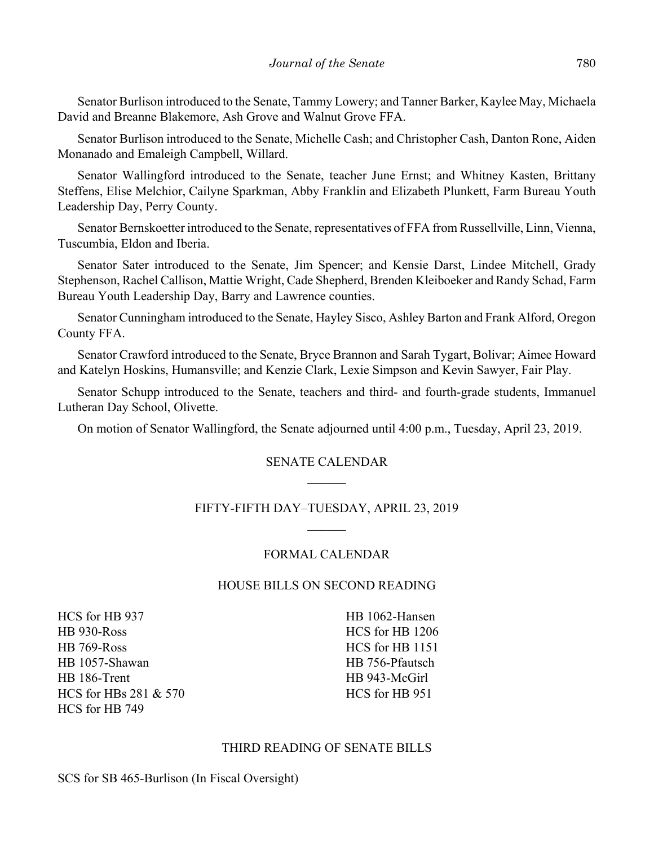Senator Burlison introduced to the Senate, Tammy Lowery; and Tanner Barker, Kaylee May, Michaela David and Breanne Blakemore, Ash Grove and Walnut Grove FFA.

Senator Burlison introduced to the Senate, Michelle Cash; and Christopher Cash, Danton Rone, Aiden Monanado and Emaleigh Campbell, Willard.

Senator Wallingford introduced to the Senate, teacher June Ernst; and Whitney Kasten, Brittany Steffens, Elise Melchior, Cailyne Sparkman, Abby Franklin and Elizabeth Plunkett, Farm Bureau Youth Leadership Day, Perry County.

Senator Bernskoetter introduced to the Senate, representatives of FFA from Russellville, Linn, Vienna, Tuscumbia, Eldon and Iberia.

Senator Sater introduced to the Senate, Jim Spencer; and Kensie Darst, Lindee Mitchell, Grady Stephenson, Rachel Callison, Mattie Wright, Cade Shepherd, Brenden Kleiboeker and Randy Schad, Farm Bureau Youth Leadership Day, Barry and Lawrence counties.

Senator Cunningham introduced to the Senate, Hayley Sisco, Ashley Barton and Frank Alford, Oregon County FFA.

Senator Crawford introduced to the Senate, Bryce Brannon and Sarah Tygart, Bolivar; Aimee Howard and Katelyn Hoskins, Humansville; and Kenzie Clark, Lexie Simpson and Kevin Sawyer, Fair Play.

Senator Schupp introduced to the Senate, teachers and third- and fourth-grade students, Immanuel Lutheran Day School, Olivette.

On motion of Senator Wallingford, the Senate adjourned until 4:00 p.m., Tuesday, April 23, 2019.

## SENATE CALENDAR

# FIFTY-FIFTH DAY–TUESDAY, APRIL 23, 2019

## FORMAL CALENDAR

## HOUSE BILLS ON SECOND READING

HCS for HB 937 HB 930-Ross HB 769-Ross HB 1057-Shawan HB 186-Trent HCS for HBs 281 & 570 HCS for HB 749

HB 1062-Hansen HCS for HB 1206 HCS for HB 1151 HB 756-Pfautsch HB 943-McGirl HCS for HB 951

## THIRD READING OF SENATE BILLS

SCS for SB 465-Burlison (In Fiscal Oversight)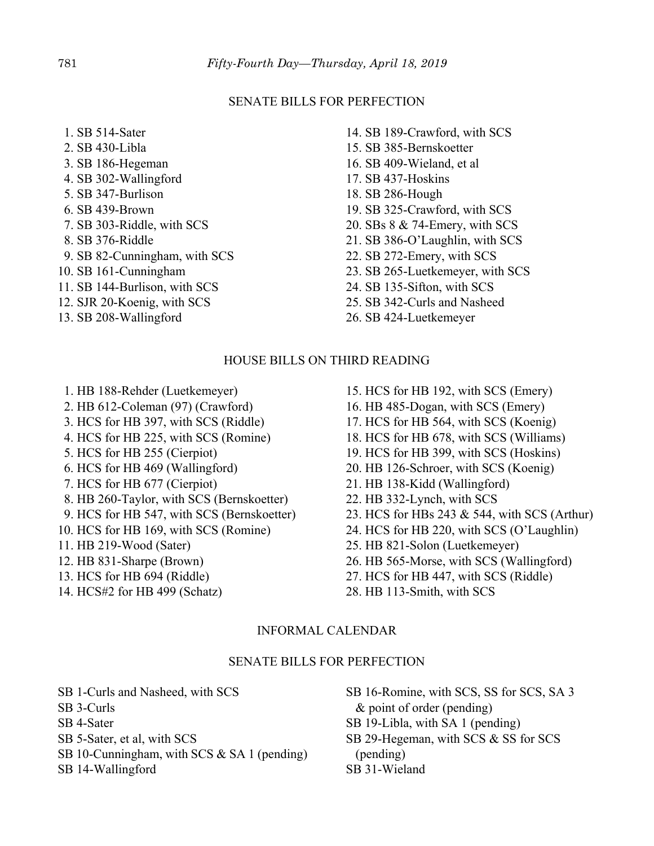#### SENATE BILLS FOR PERFECTION

- 1. SB 514-Sater 2. SB 430-Libla 3. SB 186-Hegeman 4. SB 302-Wallingford 5. SB 347-Burlison 6. SB 439-Brown
- 7. SB 303-Riddle, with SCS
- 8. SB 376-Riddle
- 9. SB 82-Cunningham, with SCS
- 10. SB 161-Cunningham
- 11. SB 144-Burlison, with SCS
- 12. SJR 20-Koenig, with SCS
- 13. SB 208-Wallingford
- 14. SB 189-Crawford, with SCS
- 15. SB 385-Bernskoetter
- 16. SB 409-Wieland, et al
- 17. SB 437-Hoskins
- 18. SB 286-Hough
- 19. SB 325-Crawford, with SCS
- 20. SBs 8 & 74-Emery, with SCS
- 21. SB 386-O'Laughlin, with SCS
- 22. SB 272-Emery, with SCS
- 23. SB 265-Luetkemeyer, with SCS
- 24. SB 135-Sifton, with SCS
- 25. SB 342-Curls and Nasheed
- 26. SB 424-Luetkemeyer

#### HOUSE BILLS ON THIRD READING

- 1. HB 188-Rehder (Luetkemeyer)
- 2. HB 612-Coleman (97) (Crawford)
- 3. HCS for HB 397, with SCS (Riddle)
- 4. HCS for HB 225, with SCS (Romine)
- 5. HCS for HB 255 (Cierpiot)
- 6. HCS for HB 469 (Wallingford)
- 7. HCS for HB 677 (Cierpiot)
- 8. HB 260-Taylor, with SCS (Bernskoetter)
- 9. HCS for HB 547, with SCS (Bernskoetter)
- 10. HCS for HB 169, with SCS (Romine)
- 11. HB 219-Wood (Sater)
- 12. HB 831-Sharpe (Brown)
- 13. HCS for HB 694 (Riddle)
- 14. HCS#2 for HB 499 (Schatz)
- 15. HCS for HB 192, with SCS (Emery)
- 16. HB 485-Dogan, with SCS (Emery)
- 17. HCS for HB 564, with SCS (Koenig)
- 18. HCS for HB 678, with SCS (Williams)
- 19. HCS for HB 399, with SCS (Hoskins)
- 20. HB 126-Schroer, with SCS (Koenig)
- 21. HB 138-Kidd (Wallingford)
- 22. HB 332-Lynch, with SCS
- 23. HCS for HBs 243 & 544, with SCS (Arthur)
- 24. HCS for HB 220, with SCS (O'Laughlin)
- 25. HB 821-Solon (Luetkemeyer)
- 26. HB 565-Morse, with SCS (Wallingford)
- 27. HCS for HB 447, with SCS (Riddle)
- 28. HB 113-Smith, with SCS

## INFORMAL CALENDAR

#### SENATE BILLS FOR PERFECTION

SB 1-Curls and Nasheed, with SCS SB 3-Curls SB 4-Sater SB 5-Sater, et al, with SCS SB 10-Cunningham, with SCS & SA 1 (pending) SB 14-Wallingford

SB 16-Romine, with SCS, SS for SCS, SA 3 & point of order (pending) SB 19-Libla, with SA 1 (pending) SB 29-Hegeman, with SCS & SS for SCS (pending) SB 31-Wieland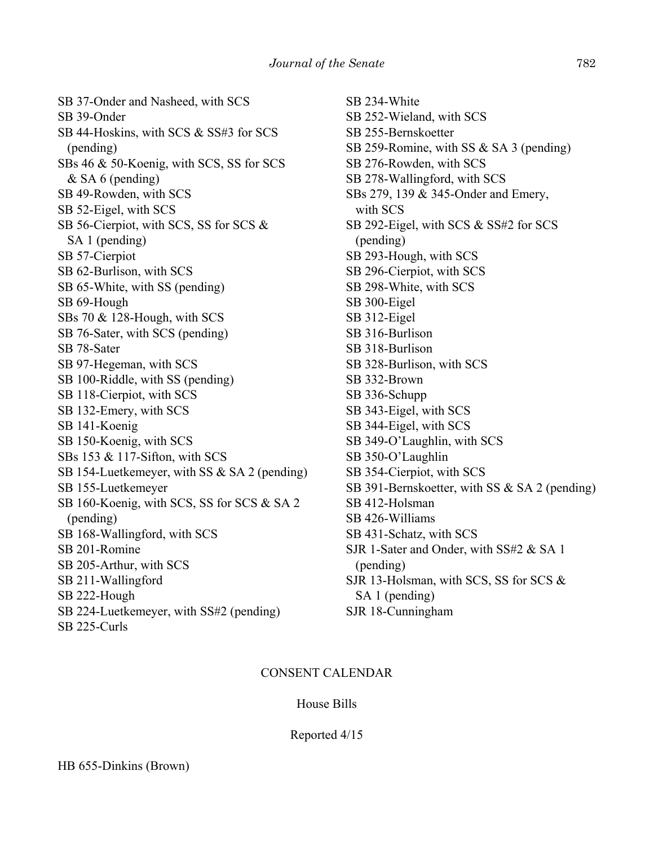SB 37-Onder and Nasheed, with SCS SB 39-Onder SB 44-Hoskins, with SCS & SS#3 for SCS (pending) SBs 46 & 50-Koenig, with SCS, SS for SCS & SA 6 (pending) SB 49-Rowden, with SCS SB 52-Eigel, with SCS SB 56-Cierpiot, with SCS, SS for SCS & SA 1 (pending) SB 57-Cierpiot SB 62-Burlison, with SCS SB 65-White, with SS (pending) SB 69-Hough SBs 70 & 128-Hough, with SCS SB 76-Sater, with SCS (pending) SB 78-Sater SB 97-Hegeman, with SCS SB 100-Riddle, with SS (pending) SB 118-Cierpiot, with SCS SB 132-Emery, with SCS SB 141-Koenig SB 150-Koenig, with SCS SBs 153 & 117-Sifton, with SCS SB 154-Luetkemeyer, with SS & SA 2 (pending) SB 155-Luetkemeyer SB 160-Koenig, with SCS, SS for SCS & SA 2 (pending) SB 168-Wallingford, with SCS SB 201-Romine SB 205-Arthur, with SCS SB 211-Wallingford SB 222-Hough SB 224-Luetkemeyer, with SS#2 (pending) SB 225-Curls

SB 234-White SB 252-Wieland, with SCS SB 255-Bernskoetter SB 259-Romine, with SS & SA 3 (pending) SB 276-Rowden, with SCS SB 278-Wallingford, with SCS SBs 279, 139 & 345-Onder and Emery, with SCS SB 292-Eigel, with SCS & SS#2 for SCS (pending) SB 293-Hough, with SCS SB 296-Cierpiot, with SCS SB 298-White, with SCS SB 300-Eigel SB 312-Eigel SB 316-Burlison SB 318-Burlison SB 328-Burlison, with SCS SB 332-Brown SB 336-Schupp SB 343-Eigel, with SCS SB 344-Eigel, with SCS SB 349-O'Laughlin, with SCS SB 350-O'Laughlin SB 354-Cierpiot, with SCS SB 391-Bernskoetter, with SS & SA 2 (pending) SB 412-Holsman SB 426-Williams SB 431-Schatz, with SCS SJR 1-Sater and Onder, with SS#2 & SA 1 (pending) SJR 13-Holsman, with SCS, SS for SCS & SA 1 (pending) SJR 18-Cunningham

#### CONSENT CALENDAR

#### House Bills

Reported 4/15